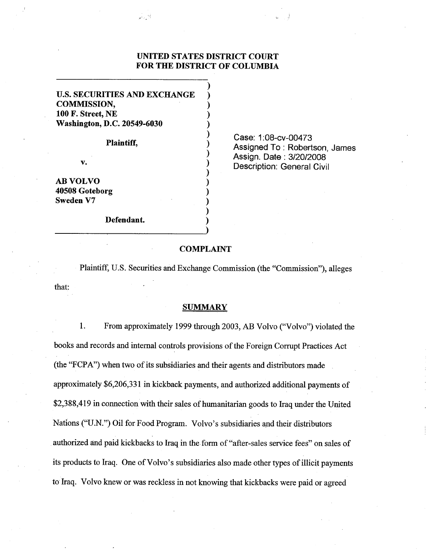# **UNITED STATES DISTRICT COURT FOR THE DISTRICT OF COLUMBIA**

 $\overline{\phantom{a}}$  $\overline{\phantom{a}}$ 

**U.S. SECURITIES AND EXCHANGE** ) **COMMISSION, 100 F. Street, NE Washington, D.C. 20549-6030** 

كالرابط

**Plaintiff,** )

v.

**AB VOLVO 40508 Goteborg Sweden V7** )

**Defendant.** 

Case: 1:08-cv-00473 Assigned To : Robertson, James Assign. Date : 3/20/2008 Description: General Civil

# **COMPLAINT**

Plaintiff, U.S. Securities and Exchange Commission (the "Commission"), alleges that:

## **SUMMARY**

1. From approximately 1999 through 2003, AB Volvo ("Volvo") violated the books and records and internal controls provisions of the Foreign Corrupt Practices Act (the "FCPA") when two of its subsidiaries and their agents and distributors made approximately \$6,206,33 1in kickback payments, and authorized additional payments of \$2,388,419 in connection with their sales of humanitarian goods to Iraq under the United Nations ("U.N.") Oil for Food Program. Volvo's subsidiaries and their distributors authorized and paid kickbacks to Iraq in the form of "after-sales service fees" on sales of its products to Iraq. One of Volvo's subsidiaries also made other types of illicit payments to Iraq. Volvo knew or was reckless in not knowing that kickbacks were paid or agreed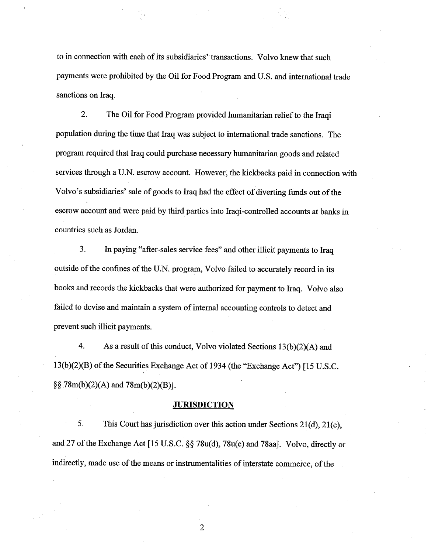to in connection with each of its subsidiaries' transactions. Volvo knew that such payments were prohibited by the Oil for Food Program and U.S. and international trade sanctions on Iraq.

2. The Oil for Food Program provided humanitarian relief to the Iraqi population during the time that Iraq was subject to international trade sanctions. The program required that Iraq could purchase necessary humanitarian goods and related services through a U.N. escrow account. However, the kickbacks paid in connection with Volvo's subsidiaries' sale of goods to Iraq had the effect of diverting funds out of the escrow account and were paid by third parties into Iraqi-controlled accounts at banks in countries such as Jordan.

3. In paying "after-sales service fees" and other illicit payments to Iraq outside of the confines of the U.N. program, Volvo failed to accurately record in its books and records the kickbacks that were authorized for payment to Iraq. Volvo also failed to devise and maintain **a** system of internal accounting controls to detect and prevent such illicit payments.

4. As a result of this conduct, Volvo violated Sections 13(b)(2)(A) and 13(b)(2)(B) of the Securities Exchange Act of 1934 (the "Exchange Act") [15 U.S.C.  $\S$ §  $78m(b)(2)(A)$  and  $78m(b)(2)(B)$ ].

## **JURISDICTION**

5. This Court has jurisdiction over this action under Sections  $21(d)$ ,  $21(e)$ , and 27 of the Exchange Act [15 U.S.C. §§ 78u(d), 78u(e) and 78aa]. Volvo, directly or indirectly, made use of the means or instrumentalities of interstate commerce, of the

 $\overline{2}$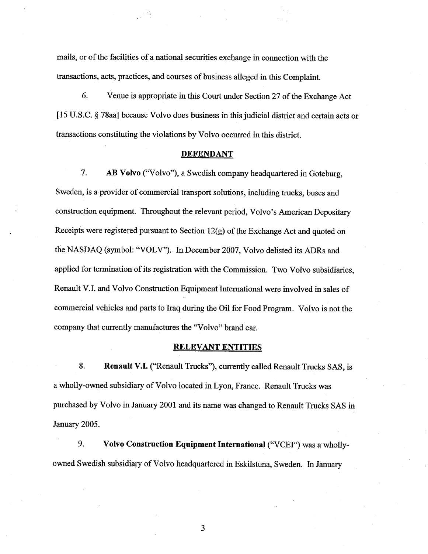mails, or of the facilities of a national securities exchange in connection with the transactions, acts, practices, and courses of business alleged in this Complaint.

*6.* Venue is appropriate in this Court under Section 27 of the Exchange Act [15 U.S.C. § 78aa] because Volvo does business in this judicial district and certain acts or transactions constituting the violations by Volvo occurred in this district.

## **DEFENDANT**

7. **AB Volvo** ("Volvo"), a Swedish company headquartered in Goteburg, Sweden, is a provider of commercial transport solutions, including trucks, buses and construction equipment. Throughout the relevant period, Volvo's American Depositary Receipts were registered pursuant to Section 12(g) of the Exchange Act and quoted on the NASDAQ (symbol: "VOLV'). In December 2007, Volvo delisted its ADRs and applied for termination of its registration with the Commission. Two Volvo subsidiaries, Renault V.I. and Volvo Construction Equipment International were involved in sales of commercial vehicles and parts to Iraq during the Oil for Food Program. Volvo is not the company that currently manufactures the "Volvo" brand car.

## **RELEVANT ENTITIES**

**8. Renault V.I.** ("Renault Trucks"), currently called Renault Trucks SAS, is a wholly-owned subsidiary of Volvo located in Lyon, France. Renault Trucks was purchased by Volvo in January 2001 and its name was changed to Renault Trucks SAS in January 2005.

**9. Volvo Construction Equipment International** ("VCEI") was a whollyowned Swedish subsidiary of Volvo headquartered in Eskilstuna, Sweden. In January

 $\overline{3}$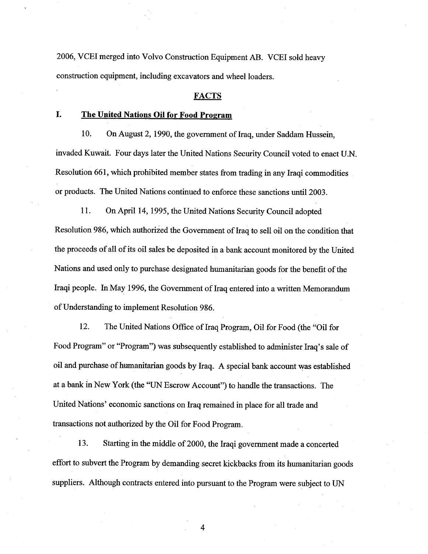2006, VCEI merged into Volvo Construction Equipment **AB.** VCEI sold heavy construction equipment, including excavators and wheel loaders.

## **FACTS**

# **I. The United Nations Oil for Food Program**

10. On August 2, 1990, the government of Iraq, under Saddam Hussein, invaded Kuwait. Four days later the United Nations Security Council voted to enact U.N. Resolution 661, which prohibited member states from trading in any Iraqi commodities or products. The United Nations continued to enforce these sanctions until 2003.

11. On April 14, 1995, the United Nations Security Council adopted Resolution 986, which authorized the Government of Iraq to sell oil on the condition that the proceeds of all of its oil sales be deposited in a bank account monitored by the United Nations and used only to purchase designated humanitarian goods for the benefit of the Iraqi people. In May 1996, the Government of Iraq entered into a written Memorandum of Understanding to implement Resolution 986.

12. The United Nations Office of Iraq Program, Oil for Food (the "Oil for Food Program" or "Program") was subsequently established to administer Iraq's sale of oil and purchase of humanitarian goods by Iraq. A special bank account was established at a bank in New York (the "UN Escrow Account") to handle the transactions. The United Nations' economic sanctions on Iraq remained in place for all trade and transactions not authorized by the Oil for Food Program.

**13.** Starting in the middle of 2000, the Iraqi government made a concerted effort to subvert the Program by demanding secret kickbacks from its humanitarian goods suppliers. Although contracts entered into pursuant to the Program were subject to UN

 $\overline{4}$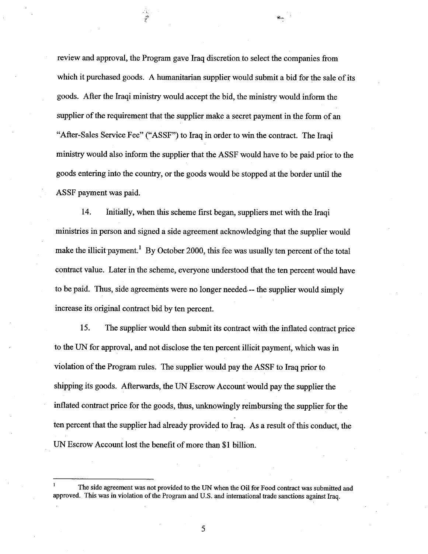review and approval, the Program gave Iraq discretion to select the companies from which it purchased goods. A humanitarian supplier would submit a bid for the sale of its goods. After the Iraqi ministry would accept the bid, the ministry would inform the supplier of the requirement that the supplier make a secret payment in the form of an "After-Sales Service Fee" ("ASSF") to Iraq in order to win the contract. The Iraqi ministry would also inform the supplier that the ASSF would have to be paid prior to the goods entering into the country, or the goods would be stopped at the border until the ASSF payment was paid.

 $\mathcal{A}_{\mathbf{G},\mathbf{G}}$ 

14. Initially, when this scheme first began, suppliers met with the Iraqi ministries in person and signed a side agreement acknowledging that the supplier would make the illicit payment.<sup>1</sup> By October 2000, this fee was usually ten percent of the total contract value. Later in the scheme, everyone understood that the ten percent would have to be paid. Thus, side agreements were no longer needed.-- the supplier would simply increase its original contract bid by ten percent.

15. The supplier would then submit its contract with the inflated contract price to the UN for approval, and not disclose the ten percent illicit payment, which was in violation of the Program rules. The supplier would pay the ASSF to Iraq prior to shipping its goods. Afterwards, the UN Escrow Account would pay the supplier the inflated contract price for the goods, thus, unknowingly reimbursing the supplier for the ten percent that the supplier had already provided to Iraq. As a result of this conduct, the UN Escrow Account lost the benefit of more than \$1 billion.

**The side agreement was not provided to the** UN **when the Oil for Food contract was submitted and approved. This was in violation of the Program and U.S. and international trade sanctions against Iraq. 1**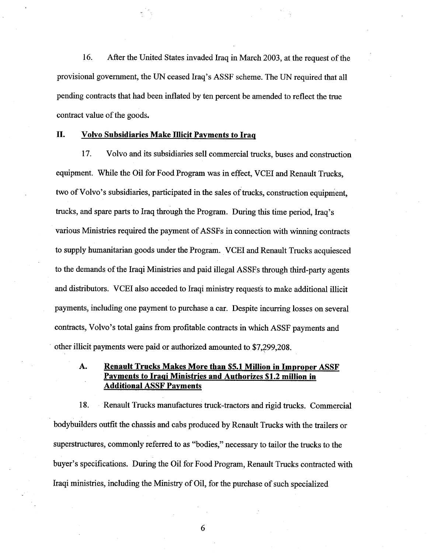**16.** After the United States invaded Iraq in March 2003, at the request of the provisional government, the UN ceased Iraq's ASSF scheme. The UN required that all pending contracts that had been inflated by ten percent be amended to reflect the true contract value of the goods.

# **11. Volvo Subsidiaries Make Illicit Pavments to Iraq**

**17.** Volvo and its subsidiaries sell commercial trucks, buses and construction equipment. While the Oil for Food Program was in effect, VCEI and Renault Trucks, two of Volvo's subsidiaries, participated in the sales of trucks, construction equipment, trucks, and spare parts to Iraq through the Program. During this time period, Iraq's various Ministries required the payment of ASSFs in connection with winning contracts to supply humanitarian goods under the Program. VCEI and Renault Trucks acquiesced to the demands of the Iraqi Ministries and paid illegal ASSFs through third-party agents and distributors. VCEI also acceded to Iraqi ministry requests to make additional illicit payments, including one payment to purchase a car. Despite incurring losses on several contracts, Volvo's total gains fiom profitable contracts in which ASSF payments and other illicit payments were paid or authorized amounted to \$7,299,208.

# **A. Renault Trucks Makes More than \$5.1 Million in Improper ASSF Pavments to Iraqi Ministries and Authorizes \$1.2 million in Additional ASSF Payments**

18. Renault Trucks manufactures truck-tractors and rigid trucks. Commercial bodybuilders outfit the chassis and cabs produced by Renault Trucks with the trailers or superstructures, commonly referred to as "bodies," necessary to tailor the trucks to the buyer's specifications. During the Oil for Food Program, Renault Trucks contracted with Iraqi ministries, including the Ministry of Oil, for the purchase of such specialized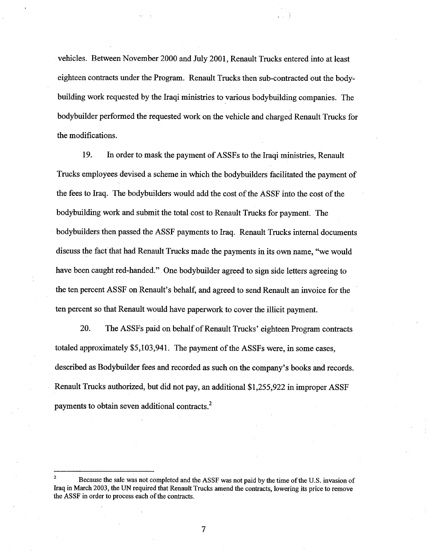vehicles. Between November 2000 and July 2001, Renault Trucks entered into at least eighteen contracts under the Program. Renault Trucks then sub-contracted out the bodybuilding work requested by the Iraqi ministries to various bodybuilding companies. The bodybuilder performed the requested work on the vehicle and charged Renault Trucks for the modifications.

19. In order to mask the payment of ASSFs to the Iraqi ministries, Renault Trucks employees devised a scheme in which the bodybuilders facilitated the payment of the fees to Iraq. The bodybuilders would add the cost of the ASSF into the cost of the bodybuilding work and submit the total cost to Renault Trucks for payment. The bodybuilders then passed the ASSF payments to Iraq. Renault Trucks internal documents discuss the fact that had Renault Trucks made the payments in its own name, "we would have been caught red-handed." One bodybuilder agreed to sign side letters agreeing to the ten percent ASSF on Renault's behalf, and agreed to send Renault an invoice for the ten percent so that Renault would have paperwork to cover the illicit payment.

20. The ASSFs paid on behalf of Renault Trucks' eighteen Program contracts totaled approximately \$5,103,94 1. The payment of the ASSFs were, in some cases, described as Bodybuilder fees and recorded as such on the company's books and records. Renault Trucks authorized, but did not pay, an additional \$1,255,922 in improper ASSF payments to obtain seven additional contracts.<sup>2</sup>

 $\overline{7}$ 

**Because the sale was not completed and the ASSF was not paid by the time of the U.S. invasion of Iraq in March 2003, the UN required that Renault Trucks amend the contracts, lowering its price to remove the ASSF in order to process each of the contracts.**  2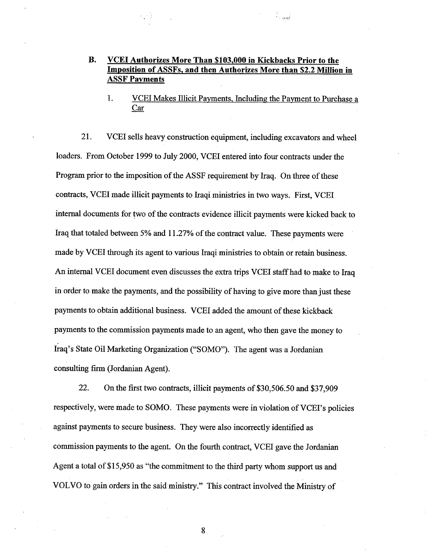# **B. VCEI Authorizes More Than \$103,000 in Kickbacks Prior to the Imposition of ASSFs, and then Authorizes More than \$2.2 Million in ASSF Pavments**

1. VCEI Makes Illicit Payments, Including the Payment to Purchase a Car

21. VCEI sells heavy construction equipment, including excavators and wheel loaders. From October 1999 to July 2000, VCEI entered into four contracts under the Program prior to the imposition of the ASSF requirement by Iraq. On three of these contracts, VCEI made illicit payments to Iraqi ministries in two ways. First, VCEI internal documents for two of the contracts evidence illicit payments were kicked back to Iraq that totaled between 5% and 11.27% of the contract value. These payments were made by VCEI through its agent to various Iraqi ministries to obtain or retain business. An internal VCEI document even discusses the extra trips VCEI staff had to make to Iraq in order to make the payments, and the possibility of having to give more than just these payments to obtain additional business. VCEI added the amount of these kickback payments to the commission payments made to an agent, who then gave the money to Iraq's State Oil Marketing Organization ("SOMO"). The agent was a Jordanian consulting firm (Jordanian Agent).

22. On the first two contracts, illicit payments of \$30,506.50 and \$37,909 respectively, were made to SOMO. These payments were in violation of VCEI's policies against payments to secure business. They were also incorrectly identified as commission payments to the agent. On the fourth contract, VCEI gave the Jordanian Agent a total of \$15,950 as "the commitment to the third party whom support us and VOLVO to gain orders in the said ministry." This contract involved the Ministry of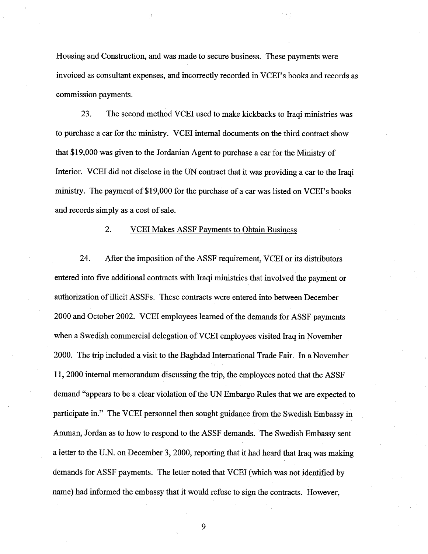Housing and Construction, and was made to secure business. These payments were invoiced as consultant expenses, and incorrectly recorded in VCEI's books and records as commission payments.

23. The second method VCEI used to make kickbacks to Iraqi ministries was to purchase a car for the ministry. VCEI internal documents on the third contract show that \$19,000 was given to the Jordanian Agent to purchase a car for the Ministry of Interior. VCEI did not disclose in the UN contract that it was providing a car to the Iraqi ministry. The payment of \$19,000 for the purchase of a car was listed on VCEI's books and records simply as a cost of sale.

2. VCEI Makes ASSF Payments to Obtain Business

24. After the imposition of the ASSF requirement, VCEI or its distributors entered into five additional contracts with Iraqi ministries that involved the payment or authorization of illicit ASSFs. These contracts were entered into between December 2000 and October 2002. VCEI employees learned of the demands for ASSF payments when a Swedish commercial delegation of VCEI employees visited Iraq in November 2000. The trip included a visit to the Baghdad International Trade Fair. In a November 1 1,2000 internal memorandum discussing the trip, the employees noted that the ASSF demand "appears to be a clear violation of the UN Embargo Rules that we are expected to participate in." The VCEI personnel then sought guidance from the Swedish Embassy in Amman, Jordan as to how to respond to the ASSF demands. The Swedish Embassy sent a letter to the U.N. on December 3,2000, reporting that it had heard that Iraq was making demands for ASSF payments. The letter noted that VCEI (which was not identified by name) had informed the embassy that it would refuse to sign the contracts. However,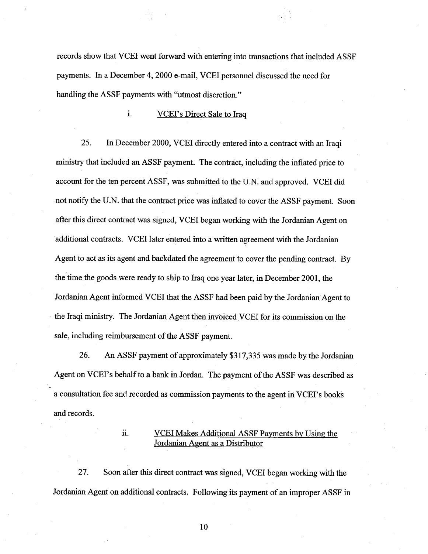records show that VCEI went forward with entering into transactions that included ASSF payments. In a December 4,2000 e-mail, VCEI personnel discussed the need for handling the ASSF payments with "utmost discretion."

# **1. 1. VCEI's Direct Sale to Iraq**

25. In December 2000, VCEI directly entered into a contract with an Iraqi ministry that included an ASSF payment. The contract, including the inflated price to account for the ten percent ASSF, was submitted to the U.N. and approved. VCEI did not notify the U.N. that the contract price was inflated to cover the ASSF payment. Soon after this direct contract was signed, VCEI began working with the Jordanian Agent on additional contracts. VCEI later entered into a written agreement with the Jordanian Agent to act as its agent and backdated the agreement to cover the pending contract. By the time the goods were ready to ship to Iraq one year later, in December 2001, the Jordanian Agent informed VCEI that the ASSF had been paid by the Jordanian Agent to the Iraqi ministry. The Jordanian Agent then invoiced VCEI for its commission on the sale, including reimbursement of the ASSF payment.

26. An ASSF payment of approximately \$3 17,335 was made by the Jordanian Agent on VCEI's behalf to a bank in Jordan. The payment of the ASSF was described as a consultation fee and recorded as commission payments to the agent in VCEI's books and records.

..

-

# **VCEI Makes Additional ASSF Payments by Using the** Jordanian Agent as a Distributor

27. Soon after this direct contract was signed, VCEI began working with the Jordanian Agent on additional contracts. Following its payment of an improper ASSF in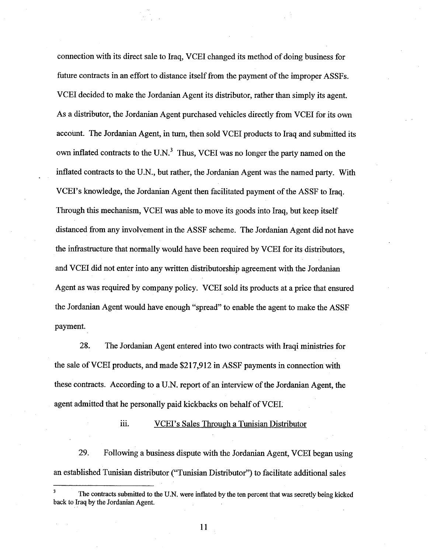connection with its direct sale to Iraq, VCEI changed its method of doing business for future contracts in an effort to distance itself from the payment of the improper ASSFs. VCEI decided to make the Jordanian Agent its distributor, rather than simply its agent. As a distributor, the Jordanian Agent purchased vehicles directly from VCEI for its own account. The Jordanian Agent, in turn, then sold VCEI products to Iraq and submitted its own inflated contracts to the U.N. $<sup>3</sup>$  Thus, VCEI was no longer the party named on the</sup> inflated contracts to the U.N., but rather, the Jordanian Agent was the named party. With VCE17s knowledge, the Jordanian Agent then facilitated payment of the ASSF to Iraq. Through this mechanism, VCEI was able to move its goods into Iraq, but keep itself distanced from any involvement in the ASSF scheme. The Jordanian Agent did not have the infrastructure that normally would have been required by VCEI for its distributors, and VCEI did not enter into any written distributorship agreement with the Jordanian Agent as was required by company policy. VCEI sold its products at a price that ensured the Jordanian Agent would have enough "spread" to enable the agent to make the ASSF payment.

28. The Jordanian Agent entered into two contracts with Iraqi ministries for the sale of VCEI products, and made \$2 17,9 12 in ASSF payments in connection with these contracts. According to a U.N. report of an interview of the Jordanian Agent, the agent admitted that he personally paid kickbacks on behalf of VCEI.

#### *iii.* **VCEI's Sales Through a Tunisian Distributor**

29. Following a business dispute with the Jordanian Agent, VCEI began using an established Tunisian distributor ("Tunisian Distributor") to facilitate additional sales

--

**The contracts submitted to the U.N. were inflated by the ten percent that was secretly being kicked back to Iraq by the Jordanian Agent. 3**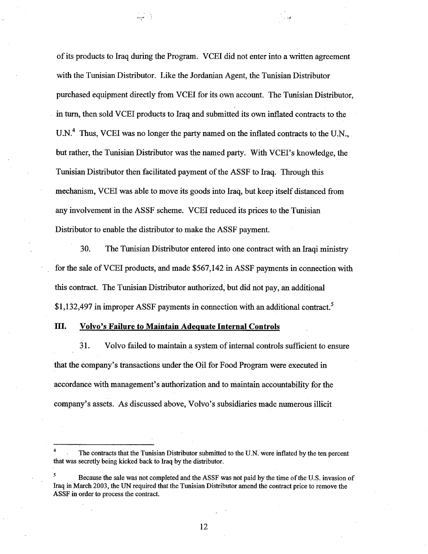of its products to Iraq during the Program. VCEI did not enter into a written agreement with the Tunisian Distributor. Like the Jordanian Agent, the Tunisian Distributor purchased equipment directly from VCEI for its own account. The Tunisian Distributor, in **turn,** then sold VCEI products to Iraq and submitted its own inflated contracts to the U.N.<sup>4</sup> Thus, VCEI was no longer the party named on the inflated contracts to the U.N., but rather, the Tunisian Distributor was the named party. With VCEI's knowledge, the Tunisian Distributor then facilitated payment of the ASSF to Iraq. Through this mechanism, VCEI was able to move its goods into Iraq, but keep itself distanced from any involvement in the ASSF scheme. VCEI reduced its prices to the Tunisian Distributor to enable the distributor to make the ASSF payment.

**30.** The Tunisian Distributor entered into one contract with an Iraqi ministry for the sale of VCEI products, and made \$567,142 in ASSF payments in connection with this contract. The Tunisian Distributor authorized, but did not pay, an additional \$1,132,497 in improper ASSF payments in connection with an additional contract.<sup>5</sup>

## **111. Volvo's Failure to Maintain Adequate Internal Controls**

 $\frac{1}{\text{max}}$  . <br> )

3 1. Volvo failed to maintain a system of internal controls sufficient to ensure that the company's transactions under the Oil for Food Program were executed in accordance with management's authorization and to maintain accountability for the company's assets. As discussed above, Volvo's subsidiaries made numerous illicit

**<sup>4</sup>**. The contracts that the Tunisian Distributor submitted to the U.N. were inflated by the ten percent that was secretly being kicked back to Iraq by the distributor.

**<sup>5</sup>**Because the sale was not completed and the **ASSF** was not paid by the time of the U.S. invasion of Iraq in March 2003, the **UN** required that the Tunisian Distributor amend the contract price to remove the **ASSF** in order to process the contract.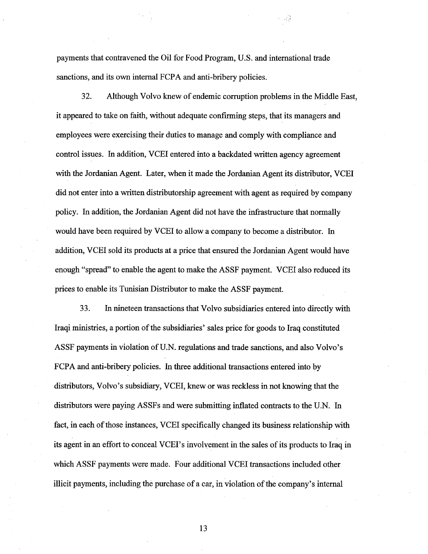payments that contravened the Oil for Food Program, U.S. and international trade sanctions, and its own internal FCPA and anti-bribery policies.

32. Although Volvo knew of endemic corruption problems in the Middle East, it appeared to take on faith, without adequate confirming steps, that its managers and employees were exercising their duties to manage and comply with compliance and control issues. In addition, VCEI entered into a backdated written agency agreement with the Jordanian Agent. Later, when it made the Jordanian Agent its distributor, VCEI did not enter into a written distributorship agreement with agent as required by company policy. In addition, the Jordanian Agent did not have the infrastructure that normally would have been required by VCEI to allow a company to become a distributor. In addition, VCEI sold its products at a price that ensured the Jordanian Agent would have enough "spread" to enable the agent to make the ASSF payment. VCEI also reduced its prices to enable its Tunisian Distributor to make the ASSF payment.

**33.** In nineteen transactions that Volvo subsidiaries entered into directly with Iraqi ministries, a portion of the subsidiaries' sales price for goods to Iraq constituted ASSF payments in violation of U.N. regulations and trade sanctions, and also Volvo's FCPA and anti-bribery policies. In three additional transactions entered into by distributors, Volvo's subsidiary, VCEI, knew or was reckless in not knowing that the distributors were paying ASSFs and were submitting inflated contracts to the U.N. In fact, in each of those instances, VCEI specifically changed its business relationship with its agent in an effort to conceal VCEI's involvement in the sales of its products to Iraq in which ASSF payments were made. Four additional VCEI transactions included other illicit payments, including the purchase of a car, in violation of the company's internal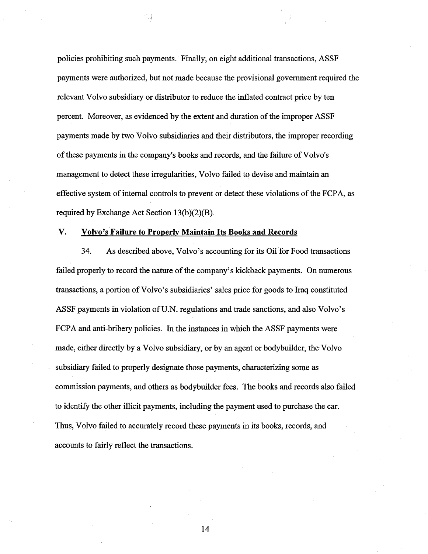policies prohibiting such payments. Finally, on eight additional transactions, ASSF payments were authorized, but not made because the provisional government required the relevant Volvo subsidiary or distributor to reduce the inflated contract price by ten percent. Moreover, as evidenced by the extent and duration of the improper ASSF payments made by two Volvo subsidiaries and their distributors, the improper recording of these payments in the company's books and records, and the failure of Volvo's management to detect these irregularities, Volvo failed to devise and maintain an effective system of internal controls to prevent or detect these violations of the FCPA, as required by Exchange Act Section **13(b)(2)(B).** 

## V. **Volvo's Failure to Properlv Maintain Its Books and Records**

**34.** As described above, Volvo's accounting for its Oil for Food transactions failed properly to record the nature of the company's kickback payments. On numerous transactions, a portion of Volvo's subsidiaries' sales price for goods to Iraq constituted ASSF payments in violation of U.N. regulations and trade sanctions, and also Volvo's FCPA and anti-bribery policies. In the instances in which the ASSF payments were made, either directly by a Volvo subsidiary, or by an agent or bodybuilder, the Volvo subsidiary failed to properly designate those payments, characterizing some as commission payments, and others as bodybuilder fees. The books and records also failed to identify the other illicit payments, including the payment used to purchase the car. Thus, Volvo failed to accurately record these payments in its books, records, and accounts to fairly reflect the transactions.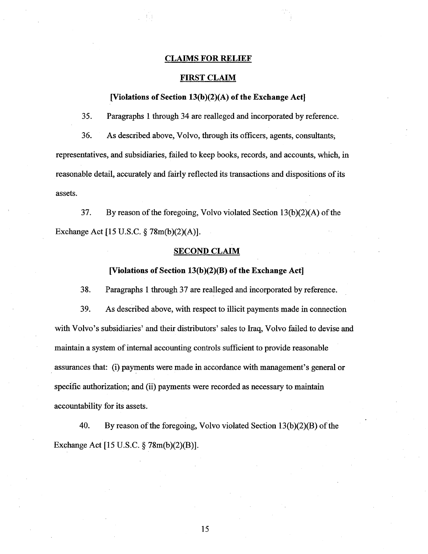#### **CLAIMS FOR RELIEF**

## **FIRST CLAIM**

## **[Violations of Section 13(b)(2)(A) of the Exchange Act]**

35. Paragraphs 1 through 34 are realleged and incorporated by reference.

36. As described above, Volvo, through its officers, agents, consultants, representatives, and subsidiaries, failed to keep books, records, and accounts, which, in reasonable detail, accurately and fairly reflected its transactions and dispositions of its assets.

37. By reason of the foregoing, Volvo violated Section 13(b)(2)(A) of the Exchange Act [15 U.S.C. **9** 78m(b)(2)(A)].

## **SECOND CLAIM**

## **[Violations of Section 13(b)(2)(B) of the Exchange Act]**

38. Paragraphs 1 through 37 are realleged and incorporated by reference.

39. As described above, with respect to illicit payments made in connection with Volvo's subsidiaries' and their distributors' sales to Iraq, Volvo failed to devise and maintain a system of internal accounting controls sufficient to provide reasonable assurances that: (i) payments were made in accordance with management's general or specific authorization; and (ii) payments were recorded as necessary to maintain accountability for its assets.

40. By reason of the foregoing, Volvo violated Section 13(b)(2)(B) of the Exchange Act [15 U.S.C. § 78m(b)(2)(B)].